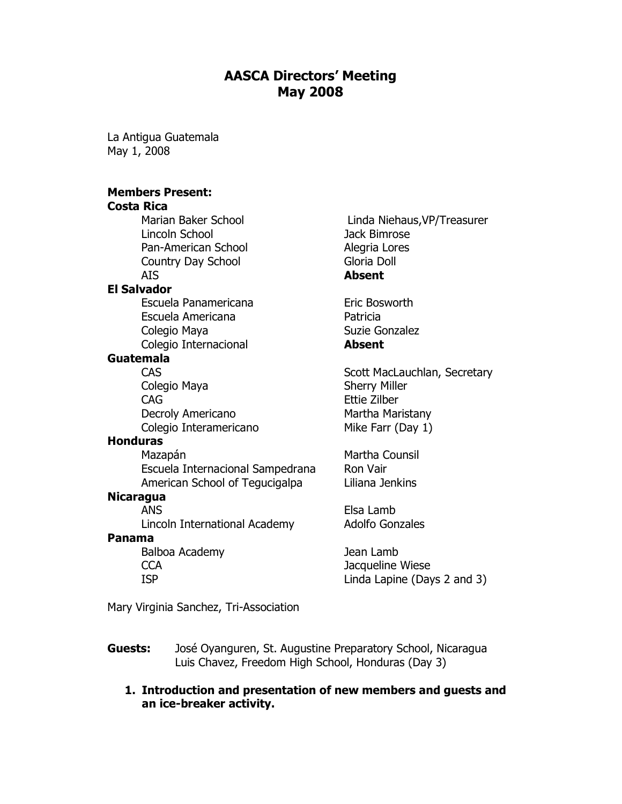# AASCA Directors' Meeting May 2008

La Antigua Guatemala May 1, 2008

## Members Present:

# Costa Rica

Pan-American School Alegria Lores Country Day School Gloria Doll AIS Absent

## El Salvador

Escuela Panamericana<br>
Eric Bosworth Escuela Americana **Patricia** Colegio Maya **Suzie Gonzalez** Colegio Internacional **Absent** 

#### Guatemala

Colegio Maya **Sherry Miller** CAG Ettie Zilber Decroly Americano Martha Maristany Colegio Interamericano Mike Farr (Day 1)

#### **Honduras**

Mazapán **Martha Counsil** Escuela Internacional Sampedrana Ron Vair American School of Tegucigalpa Liliana Jenkins

#### **Nicaragua**

ANS Elsa Lamb

#### Panama

Balboa Academy Jean Lamb

Marian Baker School Linda Niehaus, VP/Treasurer Lincoln School Jack Bimrose

CAS CAS Scott MacLauchlan, Secretary

Lincoln International Academy Adolfo Gonzales

CCA Jacqueline Wiese ISP Linda Lapine (Days 2 and 3)

Mary Virginia Sanchez, Tri-Association

- Guests: José Oyanguren, St. Augustine Preparatory School, Nicaragua Luis Chavez, Freedom High School, Honduras (Day 3)
	- 1. Introduction and presentation of new members and guests and an ice-breaker activity.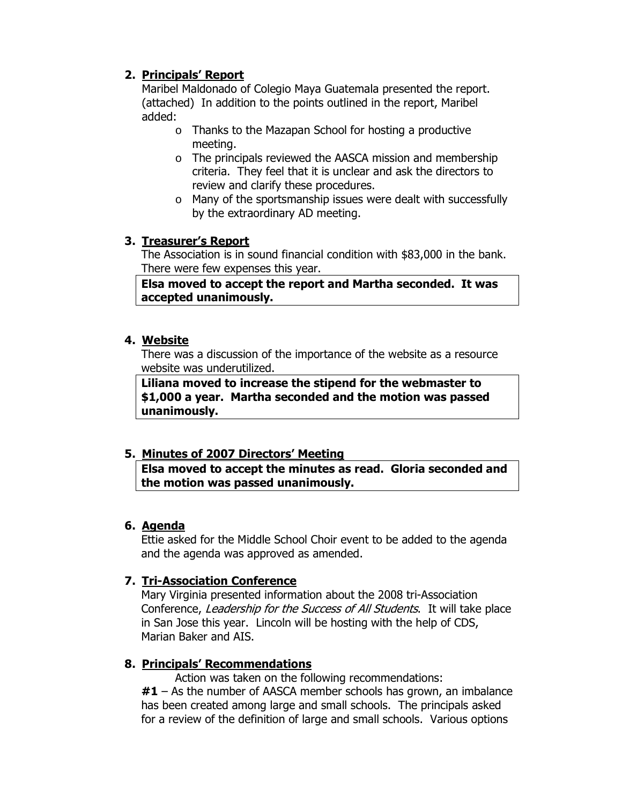# 2. Principals' Report

Maribel Maldonado of Colegio Maya Guatemala presented the report. (attached) In addition to the points outlined in the report, Maribel added:

- o Thanks to the Mazapan School for hosting a productive meeting.
- o The principals reviewed the AASCA mission and membership criteria. They feel that it is unclear and ask the directors to review and clarify these procedures.
- o Many of the sportsmanship issues were dealt with successfully by the extraordinary AD meeting.

## 3. Treasurer's Report

The Association is in sound financial condition with \$83,000 in the bank. There were few expenses this year.

Elsa moved to accept the report and Martha seconded. It was accepted unanimously.

## 4. Website

There was a discussion of the importance of the website as a resource website was underutilized.

Liliana moved to increase the stipend for the webmaster to \$1,000 a year. Martha seconded and the motion was passed unanimously.

# 5. Minutes of 2007 Directors' Meeting

Elsa moved to accept the minutes as read. Gloria seconded and the motion was passed unanimously.

## 6. Agenda

Ettie asked for the Middle School Choir event to be added to the agenda and the agenda was approved as amended.

# 7. Tri-Association Conference

Mary Virginia presented information about the 2008 tri-Association Conference, Leadership for the Success of All Students. It will take place in San Jose this year. Lincoln will be hosting with the help of CDS, Marian Baker and AIS.

## 8. Principals' Recommendations

Action was taken on the following recommendations:  $#1 - As$  the number of AASCA member schools has grown, an imbalance has been created among large and small schools. The principals asked for a review of the definition of large and small schools. Various options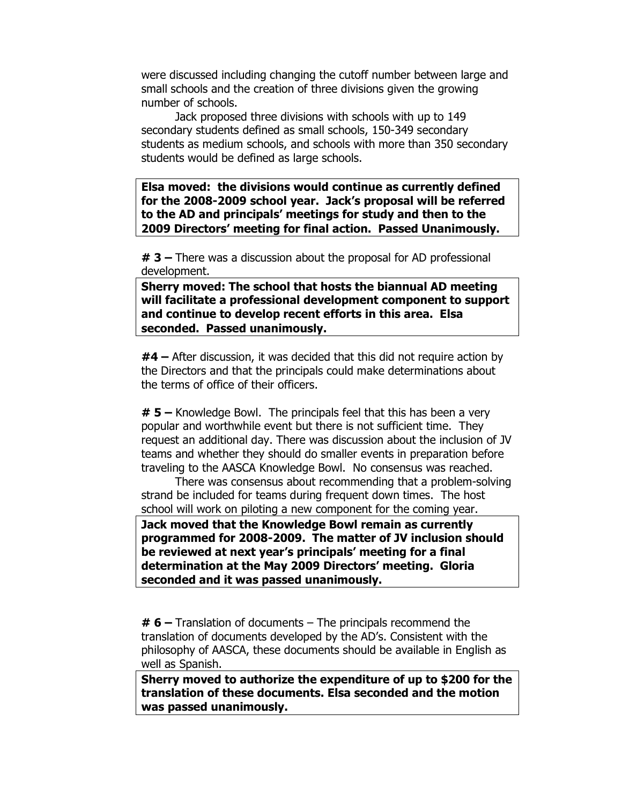were discussed including changing the cutoff number between large and small schools and the creation of three divisions given the growing number of schools.

 Jack proposed three divisions with schools with up to 149 secondary students defined as small schools, 150-349 secondary students as medium schools, and schools with more than 350 secondary students would be defined as large schools.

Elsa moved: the divisions would continue as currently defined for the 2008-2009 school year. Jack's proposal will be referred to the AD and principals' meetings for study and then to the 2009 Directors' meeting for final action. Passed Unanimously.

 $\#$  3 – There was a discussion about the proposal for AD professional development.

Sherry moved: The school that hosts the biannual AD meeting will facilitate a professional development component to support and continue to develop recent efforts in this area. Elsa seconded. Passed unanimously.

#4 – After discussion, it was decided that this did not require action by the Directors and that the principals could make determinations about the terms of office of their officers.

 $# 5 -$  Knowledge Bowl. The principals feel that this has been a very popular and worthwhile event but there is not sufficient time. They request an additional day. There was discussion about the inclusion of JV teams and whether they should do smaller events in preparation before traveling to the AASCA Knowledge Bowl. No consensus was reached.

There was consensus about recommending that a problem-solving strand be included for teams during frequent down times. The host school will work on piloting a new component for the coming year.

Jack moved that the Knowledge Bowl remain as currently programmed for 2008-2009. The matter of JV inclusion should be reviewed at next year's principals' meeting for a final determination at the May 2009 Directors' meeting. Gloria seconded and it was passed unanimously.

 $# 6$  – Translation of documents – The principals recommend the translation of documents developed by the AD's. Consistent with the philosophy of AASCA, these documents should be available in English as well as Spanish.

Sherry moved to authorize the expenditure of up to \$200 for the translation of these documents. Elsa seconded and the motion was passed unanimously.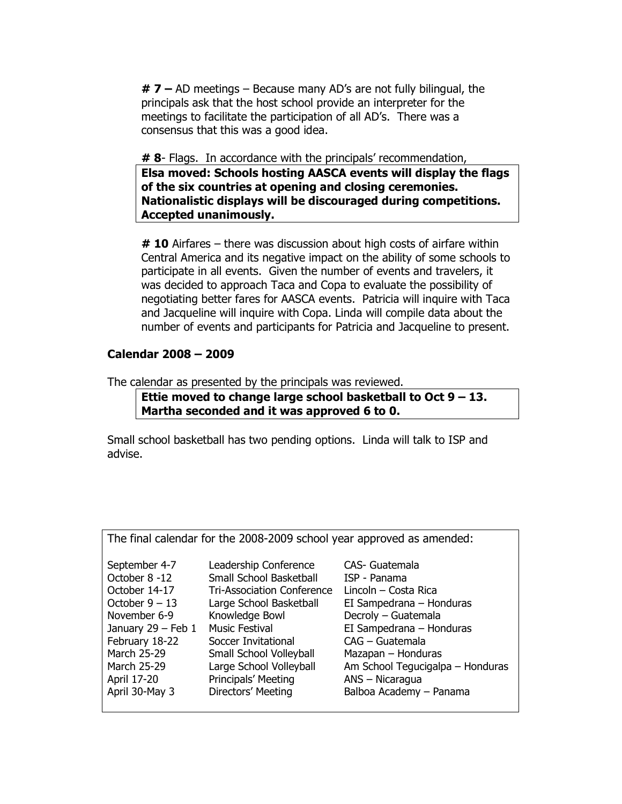$# 7 - AD$  meetings – Because many AD's are not fully bilingual, the principals ask that the host school provide an interpreter for the meetings to facilitate the participation of all AD's. There was a consensus that this was a good idea.

# 8- Flags. In accordance with the principals' recommendation,

Elsa moved: Schools hosting AASCA events will display the flags of the six countries at opening and closing ceremonies. Nationalistic displays will be discouraged during competitions. Accepted unanimously.

 $#$  10 Airfares – there was discussion about high costs of airfare within Central America and its negative impact on the ability of some schools to participate in all events. Given the number of events and travelers, it was decided to approach Taca and Copa to evaluate the possibility of negotiating better fares for AASCA events. Patricia will inquire with Taca and Jacqueline will inquire with Copa. Linda will compile data about the number of events and participants for Patricia and Jacqueline to present.

## Calendar 2008 – 2009

The calendar as presented by the principals was reviewed.

Ettie moved to change large school basketball to Oct  $9 - 13$ . Martha seconded and it was approved 6 to 0.

Small school basketball has two pending options. Linda will talk to ISP and advise.

| The final calendar for the 2008-2009 school year approved as amended:                                                                                                                        |                                                                                                                                                                                                                                                                                       |                                                                                                                                                                                                                                                                  |
|----------------------------------------------------------------------------------------------------------------------------------------------------------------------------------------------|---------------------------------------------------------------------------------------------------------------------------------------------------------------------------------------------------------------------------------------------------------------------------------------|------------------------------------------------------------------------------------------------------------------------------------------------------------------------------------------------------------------------------------------------------------------|
| September 4-7<br>October 8 -12<br>October 14-17<br>October $9 - 13$<br>November 6-9<br>January $29$ – Feb 1<br>February 18-22<br>March 25-29<br>March 25-29<br>April 17-20<br>April 30-May 3 | Leadership Conference<br>Small School Basketball<br><b>Tri-Association Conference</b><br>Large School Basketball<br>Knowledge Bowl<br><b>Music Festival</b><br>Soccer Invitational<br>Small School Volleyball<br>Large School Volleyball<br>Principals' Meeting<br>Directors' Meeting | CAS- Guatemala<br>ISP - Panama<br>Lincoln - Costa Rica<br>EI Sampedrana - Honduras<br>Decroly - Guatemala<br>EI Sampedrana - Honduras<br>CAG – Guatemala<br>Mazapan - Honduras<br>Am School Tegucigalpa – Honduras<br>ANS - Nicaragua<br>Balboa Academy - Panama |
|                                                                                                                                                                                              |                                                                                                                                                                                                                                                                                       |                                                                                                                                                                                                                                                                  |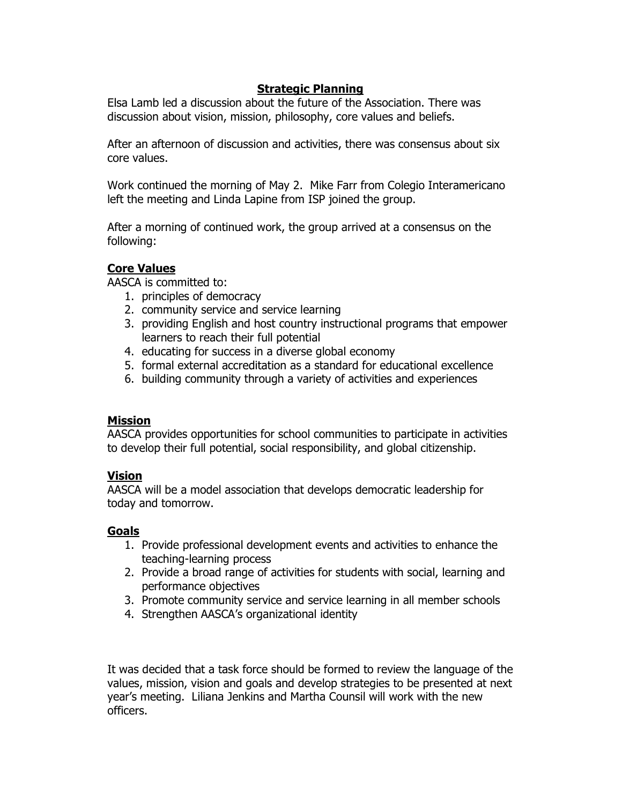## Strategic Planning

Elsa Lamb led a discussion about the future of the Association. There was discussion about vision, mission, philosophy, core values and beliefs.

After an afternoon of discussion and activities, there was consensus about six core values.

Work continued the morning of May 2. Mike Farr from Colegio Interamericano left the meeting and Linda Lapine from ISP joined the group.

After a morning of continued work, the group arrived at a consensus on the following:

## Core Values

AASCA is committed to:

- 1. principles of democracy
- 2. community service and service learning
- 3. providing English and host country instructional programs that empower learners to reach their full potential
- 4. educating for success in a diverse global economy
- 5. formal external accreditation as a standard for educational excellence
- 6. building community through a variety of activities and experiences

#### **Mission**

AASCA provides opportunities for school communities to participate in activities to develop their full potential, social responsibility, and global citizenship.

#### Vision

AASCA will be a model association that develops democratic leadership for today and tomorrow.

## Goals

- 1. Provide professional development events and activities to enhance the teaching-learning process
- 2. Provide a broad range of activities for students with social, learning and performance objectives
- 3. Promote community service and service learning in all member schools
- 4. Strengthen AASCA's organizational identity

It was decided that a task force should be formed to review the language of the values, mission, vision and goals and develop strategies to be presented at next year's meeting. Liliana Jenkins and Martha Counsil will work with the new officers.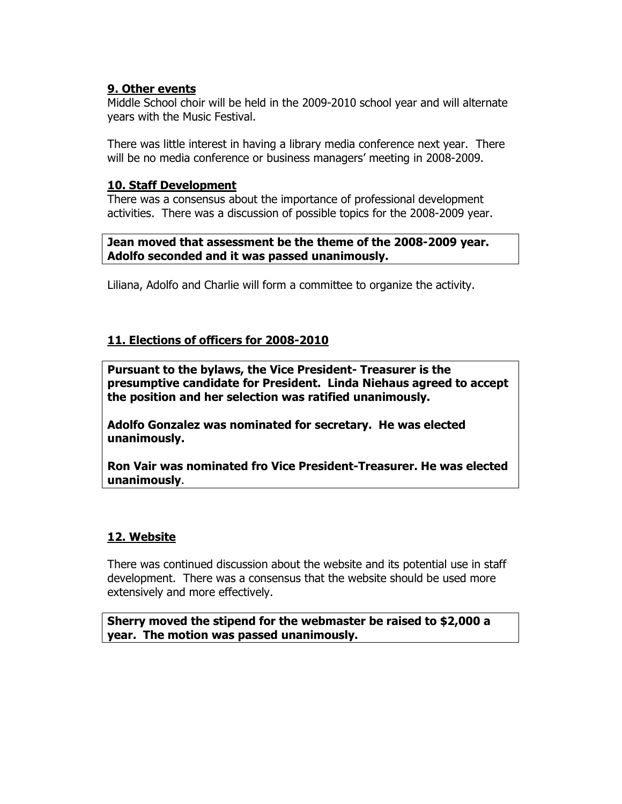## 9. Other events

Middle School choir will be held in the 2009-2010 school year and will alternate years with the Music Festival.

There was little interest in having a library media conference next year. There will be no media conference or business managers' meeting in 2008-2009.

#### 10. Staff Development

There was a consensus about the importance of professional development activities. There was a discussion of possible topics for the 2008-2009 year.

#### Jean moved that assessment be the theme of the 2008-2009 year. Adolfo seconded and it was passed unanimously.

Liliana, Adolfo and Charlie will form a committee to organize the activity.

## 11. Elections of officers for 2008-2010

Pursuant to the bylaws, the Vice President- Treasurer is the presumptive candidate for President. Linda Niehaus agreed to accept the position and her selection was ratified unanimously.

Adolfo Gonzalez was nominated for secretary. He was elected unanimously.

Ron Vair was nominated fro Vice President-Treasurer. He was elected unanimously.

## 12. Website

There was continued discussion about the website and its potential use in staff development. There was a consensus that the website should be used more extensively and more effectively.

Sherry moved the stipend for the webmaster be raised to \$2,000 a year. The motion was passed unanimously.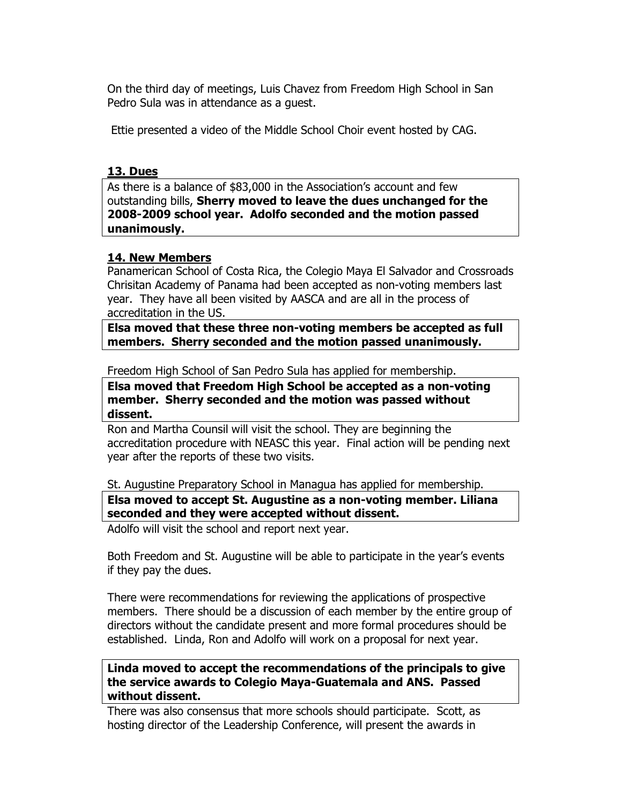On the third day of meetings, Luis Chavez from Freedom High School in San Pedro Sula was in attendance as a guest.

Ettie presented a video of the Middle School Choir event hosted by CAG.

#### 13. Dues

As there is a balance of \$83,000 in the Association's account and few outstanding bills, Sherry moved to leave the dues unchanged for the 2008-2009 school year. Adolfo seconded and the motion passed unanimously.

## 14. New Members

Panamerican School of Costa Rica, the Colegio Maya El Salvador and Crossroads Chrisitan Academy of Panama had been accepted as non-voting members last year. They have all been visited by AASCA and are all in the process of accreditation in the US.

Elsa moved that these three non-voting members be accepted as full members. Sherry seconded and the motion passed unanimously.

Freedom High School of San Pedro Sula has applied for membership.

Elsa moved that Freedom High School be accepted as a non-voting member. Sherry seconded and the motion was passed without dissent.

Ron and Martha Counsil will visit the school. They are beginning the accreditation procedure with NEASC this year. Final action will be pending next year after the reports of these two visits.

St. Augustine Preparatory School in Managua has applied for membership.

Elsa moved to accept St. Augustine as a non-voting member. Liliana seconded and they were accepted without dissent.

Adolfo will visit the school and report next year.

Both Freedom and St. Augustine will be able to participate in the year's events if they pay the dues.

There were recommendations for reviewing the applications of prospective members. There should be a discussion of each member by the entire group of directors without the candidate present and more formal procedures should be established. Linda, Ron and Adolfo will work on a proposal for next year.

Linda moved to accept the recommendations of the principals to give the service awards to Colegio Maya-Guatemala and ANS. Passed without dissent.

There was also consensus that more schools should participate. Scott, as hosting director of the Leadership Conference, will present the awards in